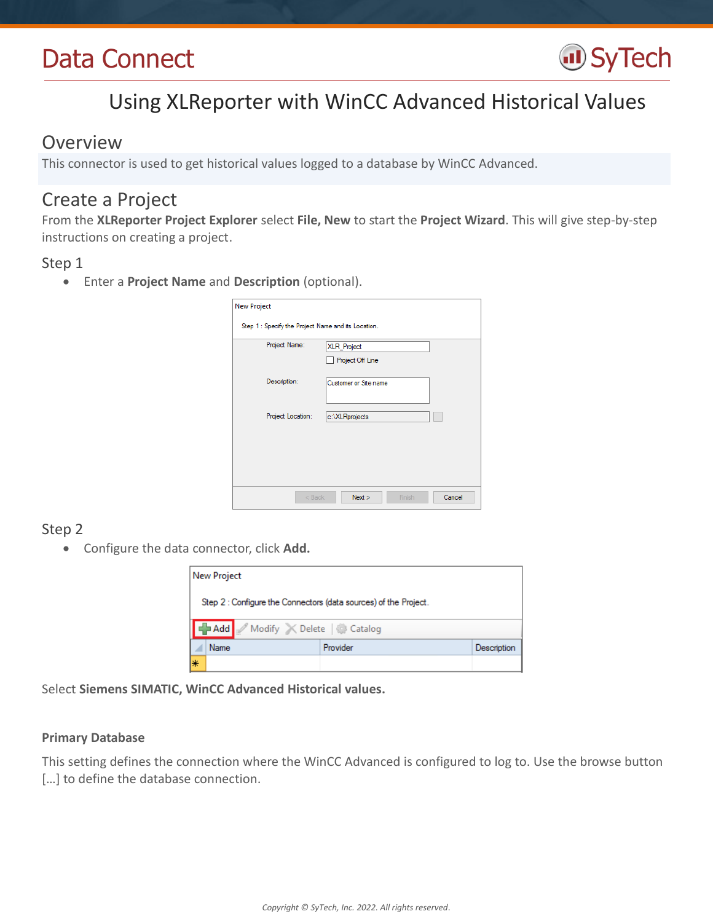# Data Connect



## Using XLReporter with WinCC Advanced Historical Values

### Overview

This connector is used to get historical values logged to a database by WinCC Advanced.

## Create a Project

From the **XLReporter Project Explorer** select **File, New** to start the **Project Wizard**. This will give step-by-step instructions on creating a project.

#### Step 1

Enter a **Project Name** and **Description** (optional).

|                   | <b>XLR</b> Project<br>Project Off Line |
|-------------------|----------------------------------------|
| Description:      | Customer or Site name                  |
| Project Location: | c:\XLRprojects                         |
|                   |                                        |

#### Step 2

Configure the data connector, click **Add.**

| <b>New Project</b> |                                                                  |  |          |             |  |  |
|--------------------|------------------------------------------------------------------|--|----------|-------------|--|--|
|                    | Step 2 : Configure the Connectors (data sources) of the Project. |  |          |             |  |  |
|                    | Add Modify X Delete   Catalog                                    |  |          |             |  |  |
|                    | Name                                                             |  | Provider | Description |  |  |
| l∗                 |                                                                  |  |          |             |  |  |

Select **Siemens SIMATIC, WinCC Advanced Historical values.**

#### **Primary Database**

This setting defines the connection where the WinCC Advanced is configured to log to. Use the browse button [...] to define the database connection.